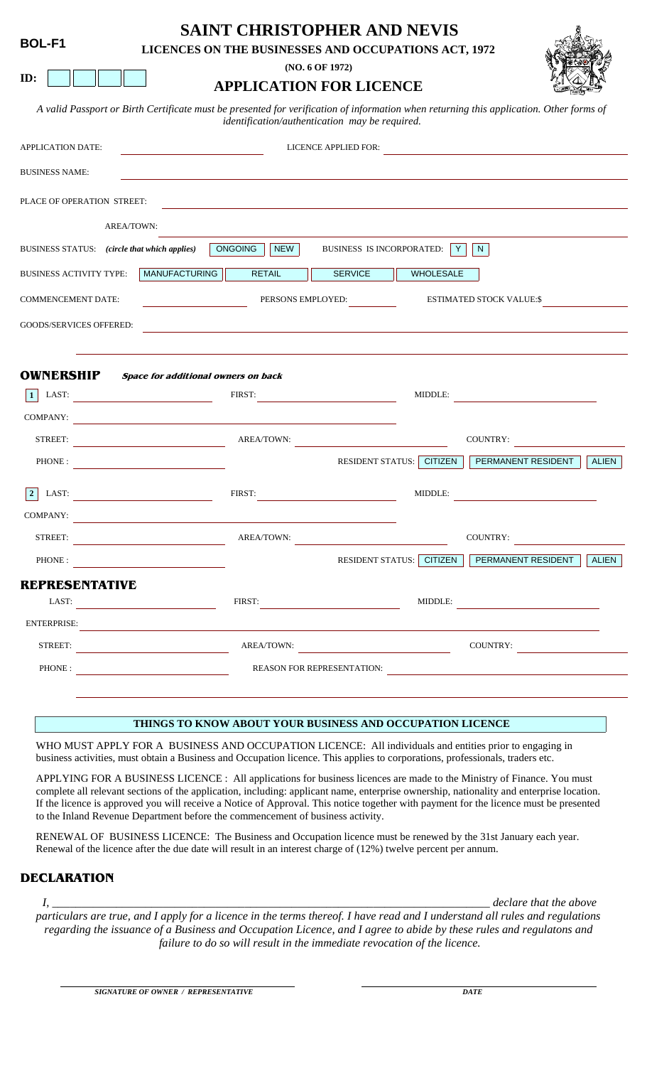### **SAINT CHRISTOPHER AND NEVIS**

**LICENCES ON THE BUSINESSES AND OCCUPATIONS ACT, 1972**

**(NO. 6 OF 1972)**

# **APPLICATION FOR LICENCE**

A valid Passport or Birth Certificate must be presented for verification of information when returning this application. Other forms *identification/authentication may be required.*

| APPLICATION DATE:                            |                                     |                                                                   | LICENCE APPLIED FOR:            |                  | <u> 1989 - John Stein, Amerikaansk politiker (</u> |              |
|----------------------------------------------|-------------------------------------|-------------------------------------------------------------------|---------------------------------|------------------|----------------------------------------------------|--------------|
| <b>BUSINESS NAME:</b>                        |                                     |                                                                   |                                 |                  |                                                    |              |
| PLACE OF OPERATION STREET:                   |                                     | <u> 1989 - Andrea Stadt Britain, amerikansk politik (d. 1989)</u> |                                 |                  |                                                    |              |
|                                              | AREA/TOWN:                          |                                                                   |                                 |                  |                                                    |              |
| BUSINESS STATUS: (circle that which applies) |                                     | NEW<br>ONGOING                                                    | BUSINESS IS INCORPORATED: Y   N |                  |                                                    |              |
| <b>BUSINESS ACTIVITY TYPE:</b>               | <b>MANUFACTURING</b>                | <b>RETAIL</b>                                                     | <b>SERVICE</b>                  | <b>WHOLESALE</b> |                                                    |              |
| <b>COMMENCEMENT DATE:</b>                    |                                     |                                                                   | PERSONS EMPLOYED:               |                  | ESTIMATED STOCK VALUE:\$                           |              |
| GOODS/SERVICES OFFERED:                      |                                     |                                                                   |                                 |                  |                                                    |              |
|                                              |                                     |                                                                   |                                 |                  |                                                    |              |
| <b>OWNERSHIP</b>                             | Space for additional owners on back |                                                                   |                                 |                  |                                                    |              |
|                                              |                                     |                                                                   |                                 |                  | 1 LAST: MIDDLE: MIDDLE:                            |              |
|                                              | COMPANY:                            |                                                                   |                                 |                  |                                                    |              |
|                                              | STREET: AREA/TOWN:                  |                                                                   |                                 |                  | COUNTRY:                                           |              |
|                                              | PHONE : $\qquad \qquad$             |                                                                   |                                 |                  | RESIDENT STATUS: CITIZEN PERMANENT RESIDENT        | <b>ALIEN</b> |
|                                              | 2 LAST: FIRST:                      |                                                                   |                                 |                  | MIDDLE:                                            |              |
|                                              | COMPANY:                            |                                                                   |                                 |                  |                                                    |              |
|                                              | STREET: AREA/TOWN:                  |                                                                   |                                 |                  | COUNTRY:                                           |              |
|                                              | PHONE:                              |                                                                   |                                 |                  | RESIDENT STATUS: CITIZEN PERMANENT RESIDENT        | <b>ALIEN</b> |
| <b>REPRESENTATIVE</b>                        |                                     |                                                                   |                                 |                  |                                                    |              |
|                                              |                                     |                                                                   |                                 |                  | FIRST: MIDDLE:                                     |              |
|                                              | ENTERPRISE:                         |                                                                   |                                 |                  |                                                    |              |
|                                              | STREET:                             | AREA/TOWN:                                                        |                                 |                  | COUNTRY:                                           |              |
|                                              | PHONE :                             |                                                                   |                                 |                  | REASON FOR REPRESENTATION:                         |              |
|                                              |                                     |                                                                   |                                 |                  |                                                    |              |

#### **THINGS TO KNOW ABOUT YOUR BUSINESS AND OCCUPATION LICENCE**

WHO MUST APPLY FOR A BUSINESS AND OCCUPATION LICENCE: All individuals and entities prior to engaging in business activities, must obtain a Business and Occupation licence. This applies to corporations, professionals, traders etc.

APPLYING FOR A BUSINESS LICENCE : All applications for business licences are made to the Ministry of Finance. You must complete all relevant sections of the application, including: applicant name, enterprise ownership, nationality and enterprise location. If the licence is approved you will receive a Notice of Approval. This notice together with payment for the licence must be presented to the Inland Revenue Department before the commencement of business activity.

RENEWAL OF BUSINESS LICENCE: The Business and Occupation licence must be renewed by the 31st January each year. Renewal of the licence after the due date will result in an interest charge of (12%) twelve percent per annum.

### **DECLARATION**

*I, \_\_\_\_\_\_\_\_\_\_\_\_\_\_\_\_\_\_\_\_\_\_\_\_\_\_\_\_\_\_\_\_\_\_\_\_\_\_\_\_\_\_\_\_\_\_\_\_\_\_\_\_\_\_\_\_\_\_\_\_\_\_\_\_\_\_\_\_\_\_\_\_\_\_\_ declare that the above* 

*particulars are true, and I apply for a licence in the terms thereof. I have read and I understand all rules and regulations regarding the issuance of a Business and Occupation Licence, and I agree to abide by these rules and regulatons and failure to do so will result in the immediate revocation of the licence.*



**ID:**